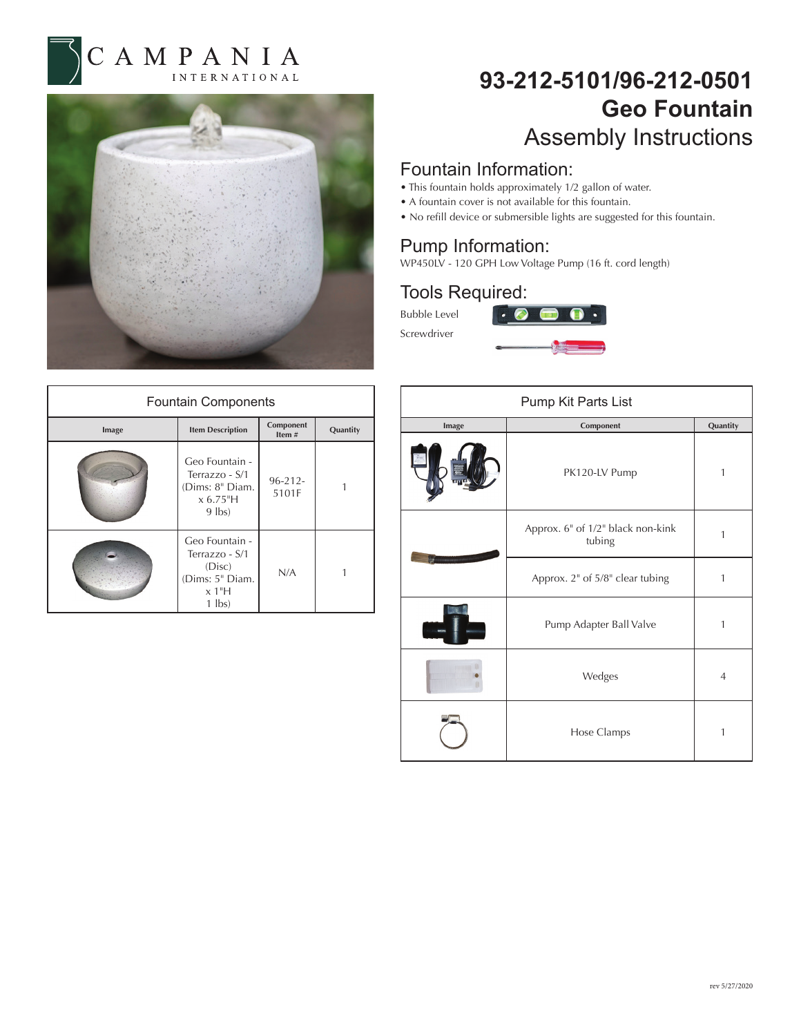



## **93-212-5101/96-212-0501 Geo Fountain** Assembly Instructions

### Fountain Information:

- This fountain holds approximately 1/2 gallon of water.
- A fountain cover is not available for this fountain.
- No refill device or submersible lights are suggested for this fountain.

## Pump Information:

WP450LV - 120 GPH Low Voltage Pump (16 ft. cord length)

## Tools Required:

Bubble Level Screwdriver



| <b>Fountain Components</b> |                                                                                    |                       |          |  |
|----------------------------|------------------------------------------------------------------------------------|-----------------------|----------|--|
| Image                      | <b>Item Description</b>                                                            | Component<br>Item $#$ | Quantity |  |
|                            | Geo Fountain -<br>Terrazzo - S/1<br>(Dims: 8" Diam.<br>$x 6.75$ "H<br>$9$ lbs)     | $96 - 212 -$<br>5101F |          |  |
|                            | Geo Fountain -<br>Terrazzo - S/1<br>(Disc)<br>(Dims: 5" Diam.<br>x 1"H<br>$1$ lbs) | N/A                   |          |  |

| Pump Kit Parts List                                                                                                                  |                                             |                |  |
|--------------------------------------------------------------------------------------------------------------------------------------|---------------------------------------------|----------------|--|
| Image                                                                                                                                | Component                                   | Quantity       |  |
|                                                                                                                                      | PK120-LV Pump                               | 1              |  |
|                                                                                                                                      | Approx. 6" of 1/2" black non-kink<br>tubing | 1              |  |
| <b>Express component controller of the Component Component Component Component Component Component Component Component Component</b> | Approx. 2" of 5/8" clear tubing             | 1              |  |
|                                                                                                                                      | Pump Adapter Ball Valve                     | 1              |  |
|                                                                                                                                      | Wedges                                      | $\overline{4}$ |  |
|                                                                                                                                      | Hose Clamps                                 | 1              |  |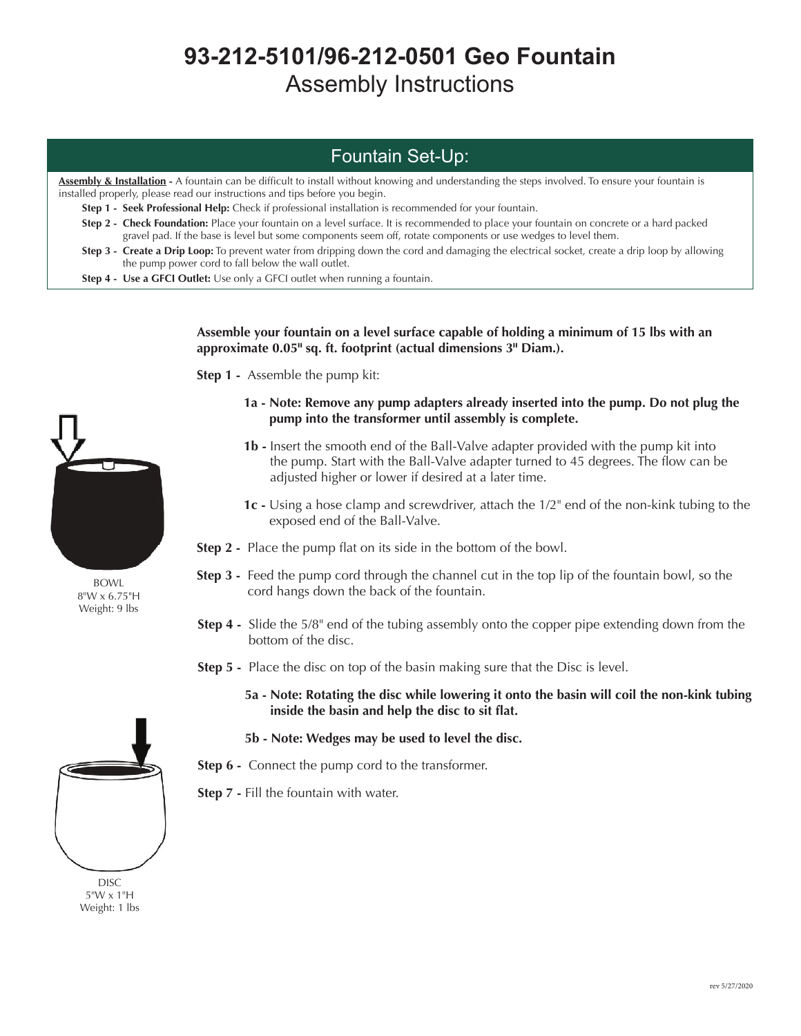# **93-212-5101/96-212-0501 Geo Fountain** Assembly Instructions

## Fountain Set-Up:

**Assembly & Installation -** A fountain can be difficult to install without knowing and understanding the steps involved. To ensure your fountain is installed properly, please read our instructions and tips before you begin.

- **Step 1 Seek Professional Help:** Check if professional installation is recommended for your fountain.
- **Step 2 Check Foundation:** Place your fountain on a level surface. It is recommended to place your fountain on concrete or a hard packed gravel pad. If the base is level but some components seem off, rotate components or use wedges to level them.
- **Step 3 Create a Drip Loop:** To prevent water from dripping down the cord and damaging the electrical socket, create a drip loop by allowing the pump power cord to fall below the wall outlet.
- **Step 4 Use a GFCI Outlet:** Use only a GFCI outlet when running a fountain.

#### **Assemble your fountain on a level surface capable of holding a minimum of 15 lbs with an approximate 0.05" sq. ft. footprint (actual dimensions 3" Diam.).**

- **Step 1** Assemble the pump kit:
- 

8"W x 6.75"H Weight: 9 lbs

- **1a Note: Remove any pump adapters already inserted into the pump. Do not plug the pump into the transformer until assembly is complete.**
	- **1b** Insert the smooth end of the Ball-Valve adapter provided with the pump kit into the pump. Start with the Ball-Valve adapter turned to 45 degrees. The flow can be adjusted higher or lower if desired at a later time.
	- **1c -** Using a hose clamp and screwdriver, attach the 1/2" end of the non-kink tubing to the exposed end of the Ball-Valve.
- **Step 2** Place the pump flat on its side in the bottom of the bowl.
- **Step 3** Feed the pump cord through the channel cut in the top lip of the fountain bowl, so the  $\frac{3}{2}$  BOWL<br>cord hangs down the back of the fountain.
	- **Step 4** Slide the 5/8" end of the tubing assembly onto the copper pipe extending down from the bottom of the disc.
	- **Step 5** Place the disc on top of the basin making sure that the Disc is level.
		- **5a Note: Rotating the disc while lowering it onto the basin will coil the non-kink tubing inside the basin and help the disc to sit flat.**
		- **5b Note: Wedges may be used to level the disc.**
	- **Step 6 -** Connect the pump cord to the transformer.
	- **Step 7 -** Fill the fountain with water.



DISC 5"W x 1"H Weight: 1 lbs